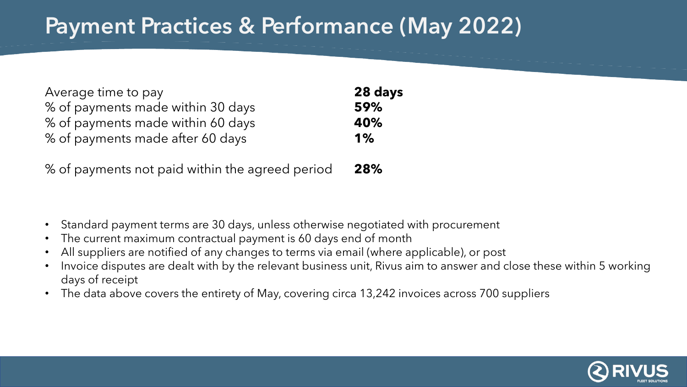# Payment Practices & Performance (May 2022)

| Average time to pay               | 28 days |
|-----------------------------------|---------|
| % of payments made within 30 days | 59%     |
| % of payments made within 60 days | 40%     |
| % of payments made after 60 days  | 1%      |
|                                   |         |

% of payments not paid within the agreed period **28%**

- Standard payment terms are 30 days, unless otherwise negotiated with procurement
- The current maximum contractual payment is 60 days end of month
- All suppliers are notified of any changes to terms via email (where applicable), or post
- Invoice disputes are dealt with by the relevant business unit, Rivus aim to answer and close these within 5 working days of receipt
- The data above covers the entirety of May, covering circa 13,242 invoices across 700 suppliers

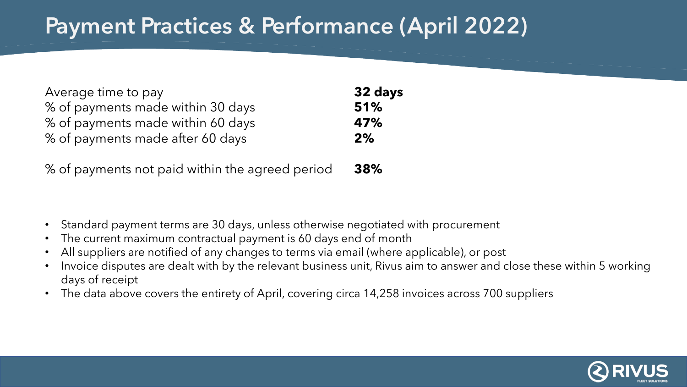# Payment Practices & Performance (April 2022)

| Average time to pay               | 32 days |
|-----------------------------------|---------|
| % of payments made within 30 days | 51%     |
| % of payments made within 60 days | 47%     |
| % of payments made after 60 days  | 2%      |

% of payments not paid within the agreed period **38%**

- Standard payment terms are 30 days, unless otherwise negotiated with procurement
- The current maximum contractual payment is 60 days end of month
- All suppliers are notified of any changes to terms via email (where applicable), or post
- Invoice disputes are dealt with by the relevant business unit, Rivus aim to answer and close these within 5 working days of receipt
- The data above covers the entirety of April, covering circa 14,258 invoices across 700 suppliers

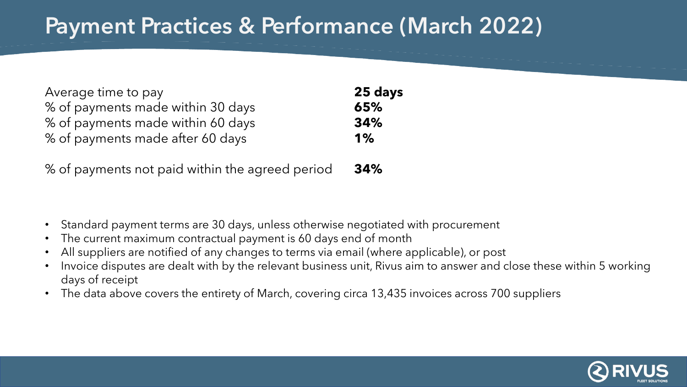### Payment Practices & Performance (March 2022)

| Average time to pay               | 25 days |
|-----------------------------------|---------|
| % of payments made within 30 days | 65%     |
| % of payments made within 60 days | 34%     |
| % of payments made after 60 days  | 1%      |

% of payments not paid within the agreed period **34%**

- Standard payment terms are 30 days, unless otherwise negotiated with procurement
- The current maximum contractual payment is 60 days end of month
- All suppliers are notified of any changes to terms via email (where applicable), or post
- Invoice disputes are dealt with by the relevant business unit, Rivus aim to answer and close these within 5 working days of receipt
- The data above covers the entirety of March, covering circa 13,435 invoices across 700 suppliers

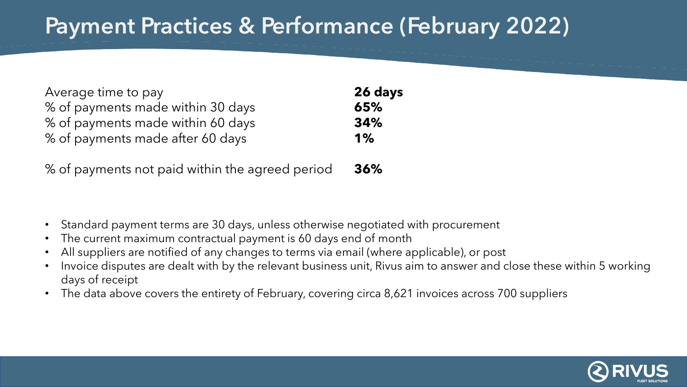# Payment Practices & Performance (February 2022)

| Average time to pay               | 26 days |
|-----------------------------------|---------|
| % of payments made within 30 days | 65%     |
| % of payments made within 60 days | 34%     |
| % of payments made after 60 days  | $1\%$   |

% of payments not paid within the agreed period **36%**

- Standard payment terms are 30 days, unless otherwise negotiated with procurement
- The current maximum contractual payment is 60 days end of month
- All suppliers are notified of any changes to terms via email (where applicable), or post
- Invoice disputes are dealt with by the relevant business unit, Rivus aim to answer and close these within 5 working days of receipt
- The data above covers the entirety of February, covering circa 8,621 invoices across 700 suppliers

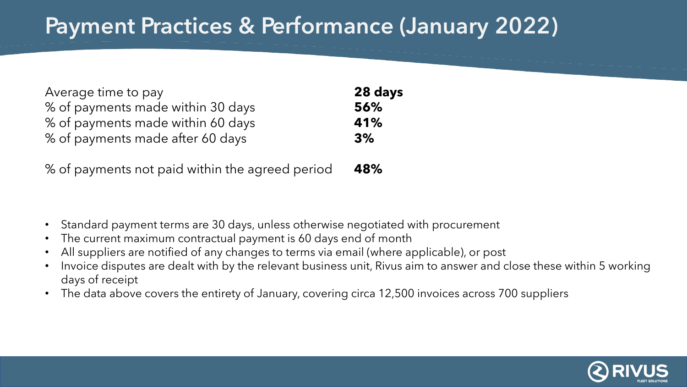# Payment Practices & Performance (January 2022)

| Average time to pay               | 28 days |
|-----------------------------------|---------|
| % of payments made within 30 days | 56%     |
| % of payments made within 60 days | 41%     |
| % of payments made after 60 days  | 3%      |

% of payments not paid within the agreed period **48%**

- Standard payment terms are 30 days, unless otherwise negotiated with procurement
- The current maximum contractual payment is 60 days end of month
- All suppliers are notified of any changes to terms via email (where applicable), or post
- Invoice disputes are dealt with by the relevant business unit, Rivus aim to answer and close these within 5 working days of receipt
- The data above covers the entirety of January, covering circa 12,500 invoices across 700 suppliers

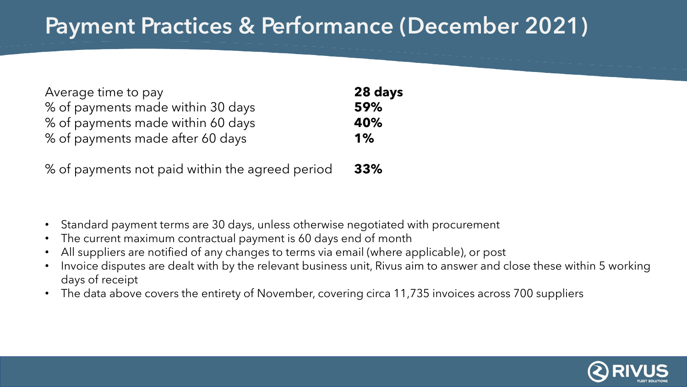## Payment Practices & Performance (December 2021)

| Average time to pay               | 28 days |
|-----------------------------------|---------|
| % of payments made within 30 days | 59%     |
| % of payments made within 60 days | 40%     |
| % of payments made after 60 days  | 1%      |
|                                   |         |

% of payments not paid within the agreed period **33%**

- Standard payment terms are 30 days, unless otherwise negotiated with procurement
- The current maximum contractual payment is 60 days end of month
- All suppliers are notified of any changes to terms via email (where applicable), or post
- Invoice disputes are dealt with by the relevant business unit, Rivus aim to answer and close these within 5 working days of receipt
- The data above covers the entirety of November, covering circa 11,735 invoices across 700 suppliers